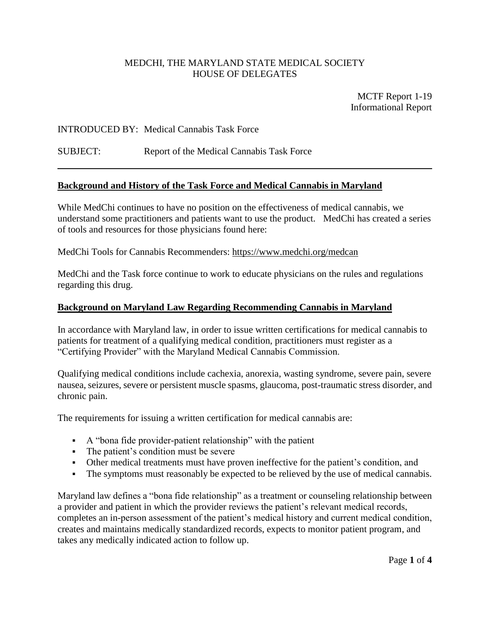## MEDCHI, THE MARYLAND STATE MEDICAL SOCIETY HOUSE OF DELEGATES

MCTF Report 1-19 Informational Report

### INTRODUCED BY: Medical Cannabis Task Force

### SUBJECT: Report of the Medical Cannabis Task Force

#### **Background and History of the Task Force and Medical Cannabis in Maryland**

While MedChi continues to have no position on the effectiveness of medical cannabis, we understand some practitioners and patients want to use the product. MedChi has created a series of tools and resources for those physicians found here:

MedChi Tools for Cannabis Recommenders:<https://www.medchi.org/medcan>

MedChi and the Task force continue to work to educate physicians on the rules and regulations regarding this drug.

#### **Background on Maryland Law Regarding Recommending Cannabis in Maryland**

In accordance with Maryland law, in order to issue written certifications for medical cannabis to patients for treatment of a qualifying medical condition, practitioners must register as a "Certifying Provider" with the Maryland Medical Cannabis Commission.

Qualifying medical conditions include cachexia, anorexia, wasting syndrome, severe pain, severe nausea, seizures, severe or persistent muscle spasms, glaucoma, post-traumatic stress disorder, and chronic pain.

The requirements for issuing a written certification for medical cannabis are:

- A "bona fide provider-patient relationship" with the patient
- The patient's condition must be severe
- Other medical treatments must have proven ineffective for the patient's condition, and
- The symptoms must reasonably be expected to be relieved by the use of medical cannabis.

Maryland law defines a "bona fide relationship" as a treatment or counseling relationship between a provider and patient in which the provider reviews the patient's relevant medical records, completes an in-person assessment of the patient's medical history and current medical condition, creates and maintains medically standardized records, expects to monitor patient program, and takes any medically indicated action to follow up.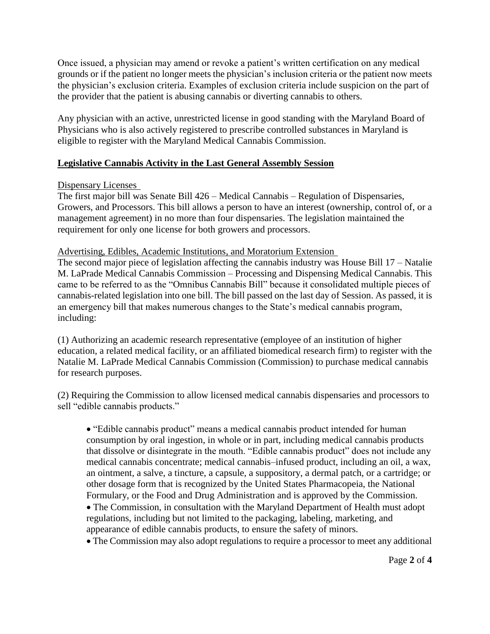Once issued, a physician may amend or revoke a patient's written certification on any medical grounds or if the patient no longer meets the physician's inclusion criteria or the patient now meets the physician's exclusion criteria. Examples of exclusion criteria include suspicion on the part of the provider that the patient is abusing cannabis or diverting cannabis to others.

Any physician with an active, unrestricted license in good standing with the Maryland Board of Physicians who is also actively registered to prescribe controlled substances in Maryland is eligible to register with the Maryland Medical Cannabis Commission.

# **Legislative Cannabis Activity in the Last General Assembly Session**

# Dispensary Licenses

The first major bill was Senate Bill 426 – Medical Cannabis – Regulation of Dispensaries, Growers, and Processors. This bill allows a person to have an interest (ownership, control of, or a management agreement) in no more than four dispensaries. The legislation maintained the requirement for only one license for both growers and processors.

# Advertising, Edibles, Academic Institutions, and Moratorium Extension

The second major piece of legislation affecting the cannabis industry was House Bill 17 – Natalie M. LaPrade Medical Cannabis Commission – Processing and Dispensing Medical Cannabis. This came to be referred to as the "Omnibus Cannabis Bill" because it consolidated multiple pieces of cannabis-related legislation into one bill. The bill passed on the last day of Session. As passed, it is an emergency bill that makes numerous changes to the State's medical cannabis program, including:

(1) Authorizing an academic research representative (employee of an institution of higher education, a related medical facility, or an affiliated biomedical research firm) to register with the Natalie M. LaPrade Medical Cannabis Commission (Commission) to purchase medical cannabis for research purposes.

(2) Requiring the Commission to allow licensed medical cannabis dispensaries and processors to sell "edible cannabis products."

 "Edible cannabis product" means a medical cannabis product intended for human consumption by oral ingestion, in whole or in part, including medical cannabis products that dissolve or disintegrate in the mouth. "Edible cannabis product" does not include any medical cannabis concentrate; medical cannabis–infused product, including an oil, a wax, an ointment, a salve, a tincture, a capsule, a suppository, a dermal patch, or a cartridge; or other dosage form that is recognized by the United States Pharmacopeia, the National Formulary, or the Food and Drug Administration and is approved by the Commission.

 The Commission, in consultation with the Maryland Department of Health must adopt regulations, including but not limited to the packaging, labeling, marketing, and appearance of edible cannabis products, to ensure the safety of minors.

The Commission may also adopt regulations to require a processor to meet any additional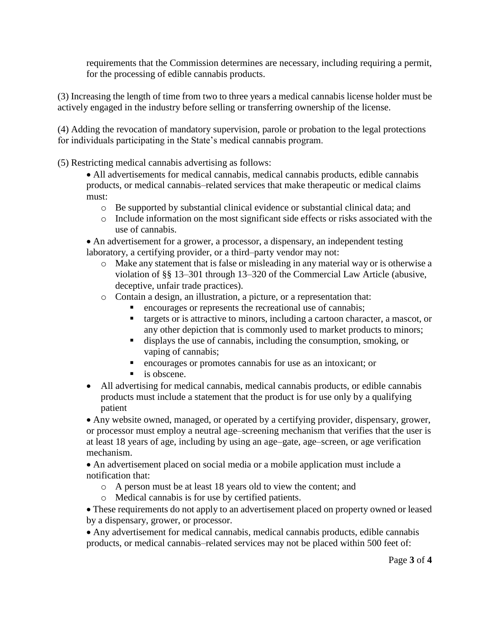requirements that the Commission determines are necessary, including requiring a permit, for the processing of edible cannabis products.

(3) Increasing the length of time from two to three years a medical cannabis license holder must be actively engaged in the industry before selling or transferring ownership of the license.

(4) Adding the revocation of mandatory supervision, parole or probation to the legal protections for individuals participating in the State's medical cannabis program.

(5) Restricting medical cannabis advertising as follows:

 All advertisements for medical cannabis, medical cannabis products, edible cannabis products, or medical cannabis–related services that make therapeutic or medical claims must:

- o Be supported by substantial clinical evidence or substantial clinical data; and
- o Include information on the most significant side effects or risks associated with the use of cannabis.

 An advertisement for a grower, a processor, a dispensary, an independent testing laboratory, a certifying provider, or a third–party vendor may not:

- o Make any statement that is false or misleading in any material way or is otherwise a violation of §§ 13–301 through 13–320 of the Commercial Law Article (abusive, deceptive, unfair trade practices).
- o Contain a design, an illustration, a picture, or a representation that:
	- encourages or represents the recreational use of cannabis;
	- targets or is attractive to minors, including a cartoon character, a mascot, or any other depiction that is commonly used to market products to minors;
	- displays the use of cannabis, including the consumption, smoking, or vaping of cannabis;
	- encourages or promotes cannabis for use as an intoxicant; or
	- $\blacksquare$  is obscene.
- All advertising for medical cannabis, medical cannabis products, or edible cannabis products must include a statement that the product is for use only by a qualifying patient

 Any website owned, managed, or operated by a certifying provider, dispensary, grower, or processor must employ a neutral age–screening mechanism that verifies that the user is at least 18 years of age, including by using an age–gate, age–screen, or age verification mechanism.

 An advertisement placed on social media or a mobile application must include a notification that:

- o A person must be at least 18 years old to view the content; and
- o Medical cannabis is for use by certified patients.

 These requirements do not apply to an advertisement placed on property owned or leased by a dispensary, grower, or processor.

 Any advertisement for medical cannabis, medical cannabis products, edible cannabis products, or medical cannabis–related services may not be placed within 500 feet of: